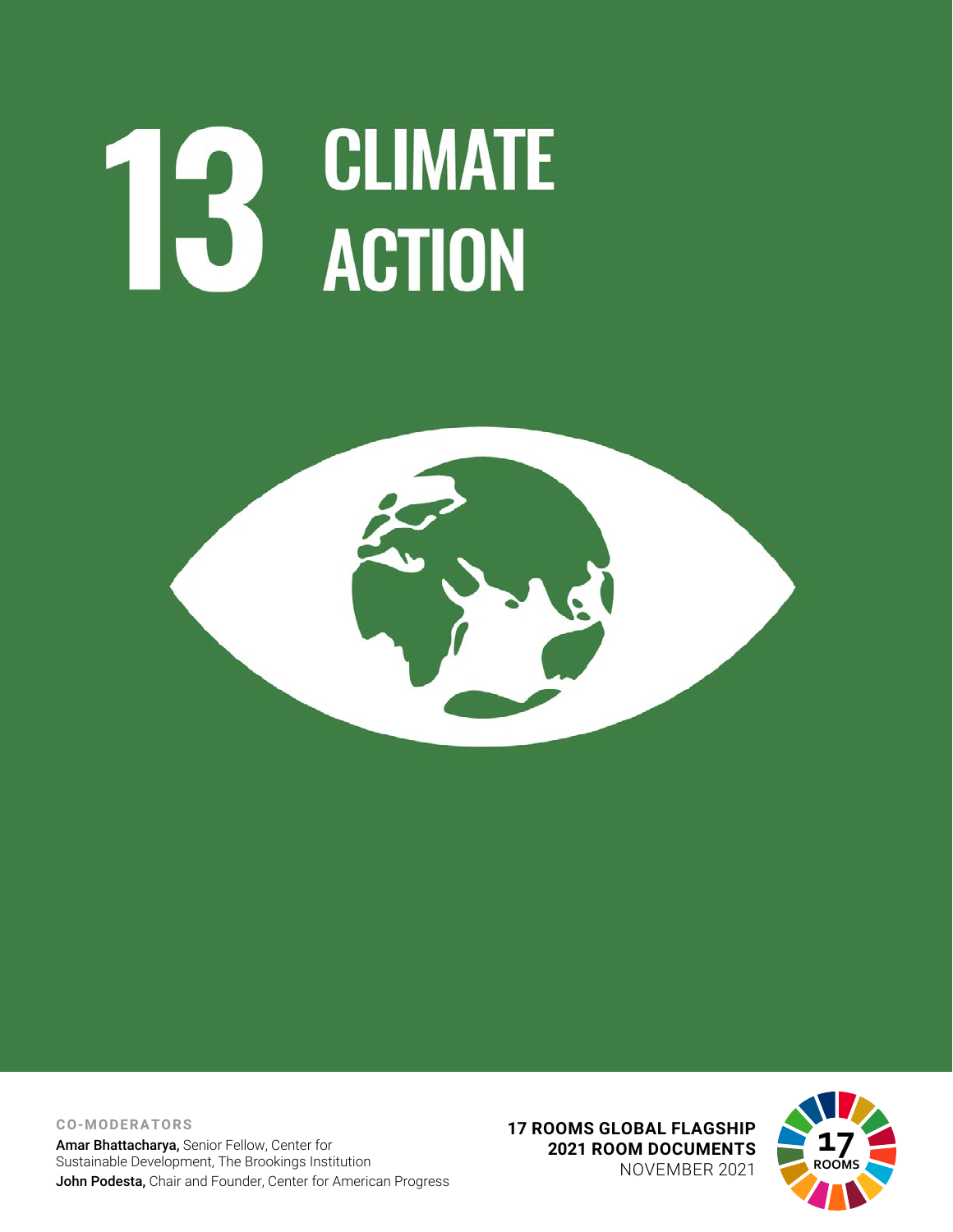# **CLIMATE** 13 GLIMATI



**CO-MODERATORS** Amar Bhattacharya, Senior Fellow, Center for Sustainable Development, The Brookings Institution John Podesta, Chair and Founder, Center for American Progress **17 ROOMS GLOBAL FLAGSHIP 2021 ROOM DOCUMENTS** NOVEMBER 2021

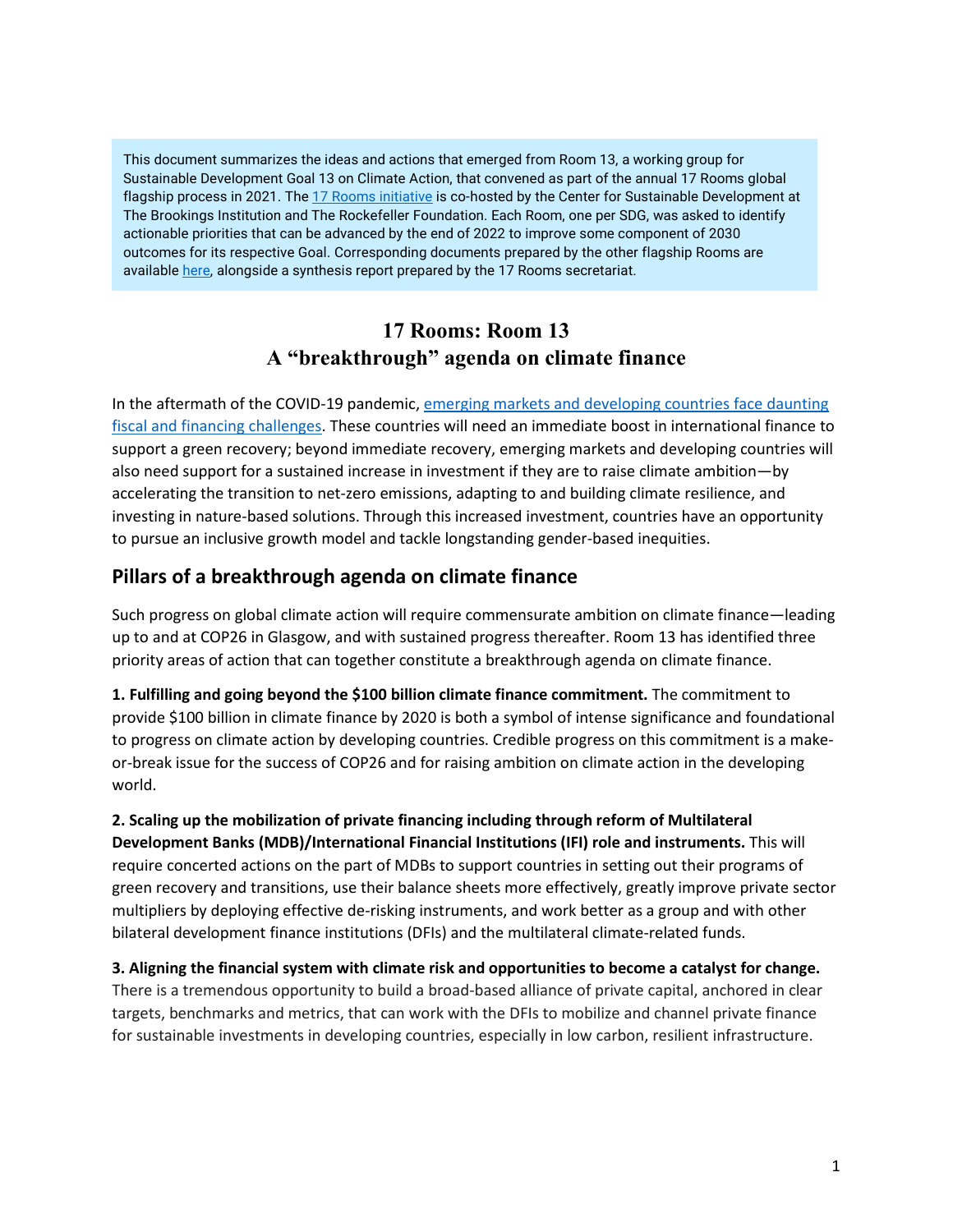This document summarizes the ideas and actions that emerged from Room 13, a working group for Sustainable Development Goal 13 on Climate Action, that convened as part of the annual 17 Rooms global flagship process in 2021. Th[e 17 Rooms initiative](https://www.brookings.edu/project/17-rooms/) is co-hosted by the Center for Sustainable Development at The Brookings Institution and The Rockefeller Foundation. Each Room, one per SDG, was asked to identify actionable priorities that can be advanced by the end of 2022 to improve some component of 2030 outcomes for its respective Goal. Corresponding documents prepared by the other flagship Rooms are availabl[e here,](http://www.brookings.edu/17rooms2021) alongside a synthesis report prepared by the 17 Rooms secretariat.

# **17 Rooms: Room 13 A "breakthrough" agenda on climate finance**

In the aftermath of the COVID-19 pandemic, [emerging markets and developing countries face daunting](https://www.un.org/en/desa/top-economists-warn-covid-19-impacts-will-be-severe-and-long-lasting-developing-countries)  [fiscal and financing challenges.](https://www.un.org/en/desa/top-economists-warn-covid-19-impacts-will-be-severe-and-long-lasting-developing-countries) These countries will need an immediate boost in international finance to support a green recovery; beyond immediate recovery, emerging markets and developing countries will also need support for a sustained increase in investment if they are to raise climate ambition—by accelerating the transition to net-zero emissions, adapting to and building climate resilience, and investing in nature-based solutions. Through this increased investment, countries have an opportunity to pursue an inclusive growth model and tackle longstanding gender-based inequities.

## **Pillars of a breakthrough agenda on climate finance**

Such progress on global climate action will require commensurate ambition on climate finance—leading up to and at COP26 in Glasgow, and with sustained progress thereafter. Room 13 has identified three priority areas of action that can together constitute a breakthrough agenda on climate finance.

**1. Fulfilling and going beyond the \$100 billion climate finance commitment.** The commitment to provide \$100 billion in climate finance by 2020 is both a symbol of intense significance and foundational to progress on climate action by developing countries. Credible progress on this commitment is a makeor-break issue for the success of COP26 and for raising ambition on climate action in the developing world.

**2. Scaling up the mobilization of private financing including through reform of Multilateral Development Banks (MDB)/International Financial Institutions (IFI) role and instruments.** This will require concerted actions on the part of MDBs to support countries in setting out their programs of green recovery and transitions, use their balance sheets more effectively, greatly improve private sector multipliers by deploying effective de-risking instruments, and work better as a group and with other bilateral development finance institutions (DFIs) and the multilateral climate-related funds.

**3. Aligning the financial system with climate risk and opportunities to become a catalyst for change.**  There is a tremendous opportunity to build a broad-based alliance of private capital, anchored in clear targets, benchmarks and metrics, that can work with the DFIs to mobilize and channel private finance for sustainable investments in developing countries, especially in low carbon, resilient infrastructure.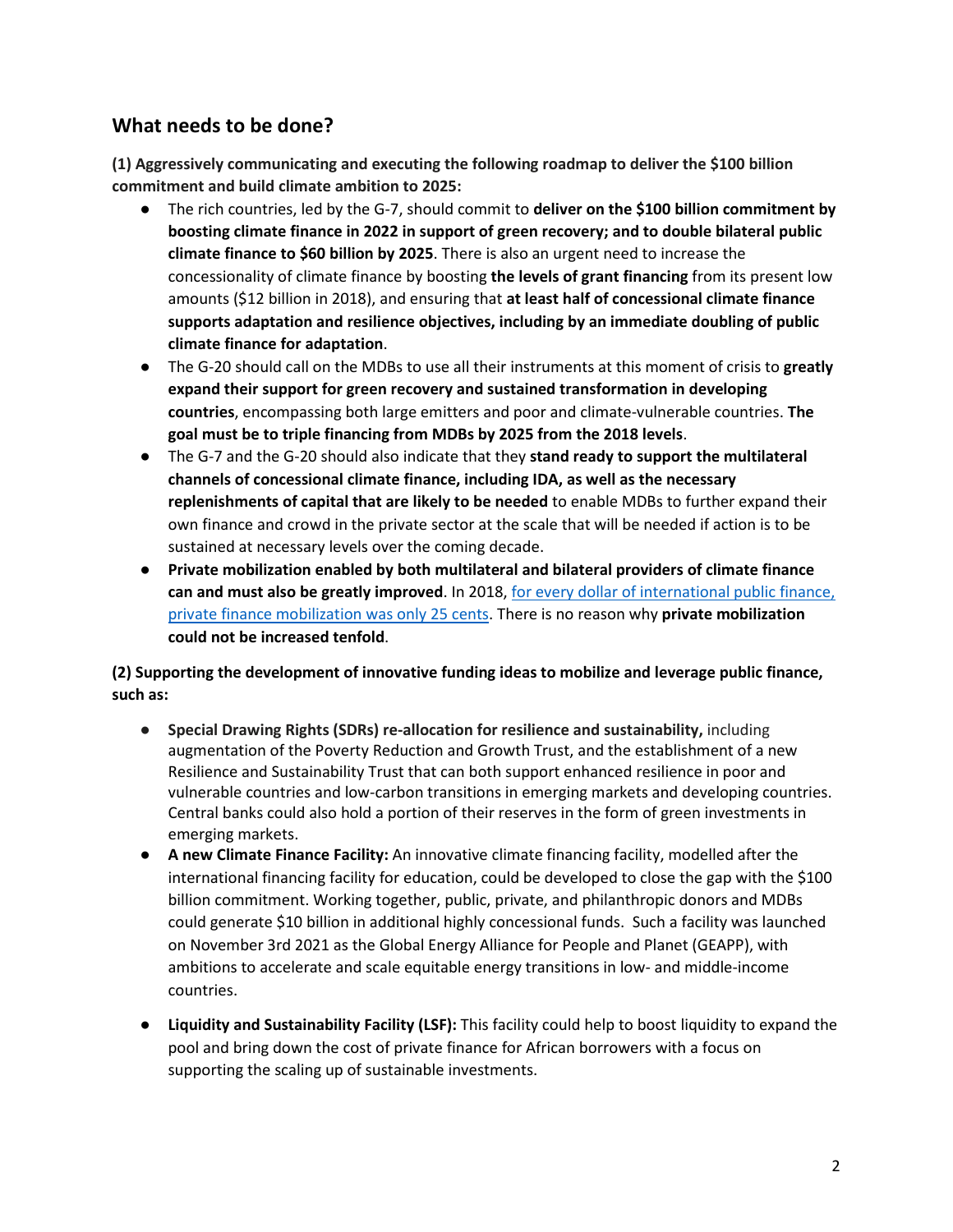# **What needs to be done?**

**(1) Aggressively communicating and executing the following roadmap to deliver the \$100 billion commitment and build climate ambition to 2025:**

- The rich countries, led by the G-7, should commit to **deliver on the \$100 billion commitment by boosting climate finance in 2022 in support of green recovery; and to double bilateral public climate finance to \$60 billion by 2025**. There is also an urgent need to increase the concessionality of climate finance by boosting **the levels of grant financing** from its present low amounts (\$12 billion in 2018), and ensuring that **at least half of concessional climate finance supports adaptation and resilience objectives, including by an immediate doubling of public climate finance for adaptation**.
- The G-20 should call on the MDBs to use all their instruments at this moment of crisis to **greatly expand their support for green recovery and sustained transformation in developing countries**, encompassing both large emitters and poor and climate-vulnerable countries. **The goal must be to triple financing from MDBs by 2025 from the 2018 levels**.
- The G-7 and the G-20 should also indicate that they **stand ready to support the multilateral channels of concessional climate finance, including IDA, as well as the necessary replenishments of capital that are likely to be needed** to enable MDBs to further expand their own finance and crowd in the private sector at the scale that will be needed if action is to be sustained at necessary levels over the coming decade.
- **Private mobilization enabled by both multilateral and bilateral providers of climate finance can and must also be greatly improved**. In 2018[, for every dollar of international public finance,](https://www.oecd.org/env/climate-finance-provided-and-mobilised-by-developed-countries-aggregate-trends-updated-with-2019-data-03590fb7-en.htm)  [private finance mobilization was only 25 cents.](https://www.oecd.org/env/climate-finance-provided-and-mobilised-by-developed-countries-aggregate-trends-updated-with-2019-data-03590fb7-en.htm) There is no reason why **private mobilization could not be increased tenfold**.

### **(2) Supporting the development of innovative funding ideas to mobilize and leverage public finance, such as:**

- **Special Drawing Rights (SDRs) re-allocation for resilience and sustainability,** including augmentation of the Poverty Reduction and Growth Trust, and the establishment of a new Resilience and Sustainability Trust that can both support enhanced resilience in poor and vulnerable countries and low-carbon transitions in emerging markets and developing countries. Central banks could also hold a portion of their reserves in the form of green investments in emerging markets.
- **A new Climate Finance Facility:** An innovative climate financing facility, modelled after the international financing facility for education, could be developed to close the gap with the \$100 billion commitment. Working together, public, private, and philanthropic donors and MDBs could generate \$10 billion in additional highly concessional funds.  Such a facility was launched on November 3rd 2021 as the Global Energy Alliance for People and Planet (GEAPP), with ambitions to accelerate and scale equitable energy transitions in low- and middle-income countries.
- **Liquidity and Sustainability Facility (LSF):** This facility could help to boost liquidity to expand the pool and bring down the cost of private finance for African borrowers with a focus on supporting the scaling up of sustainable investments.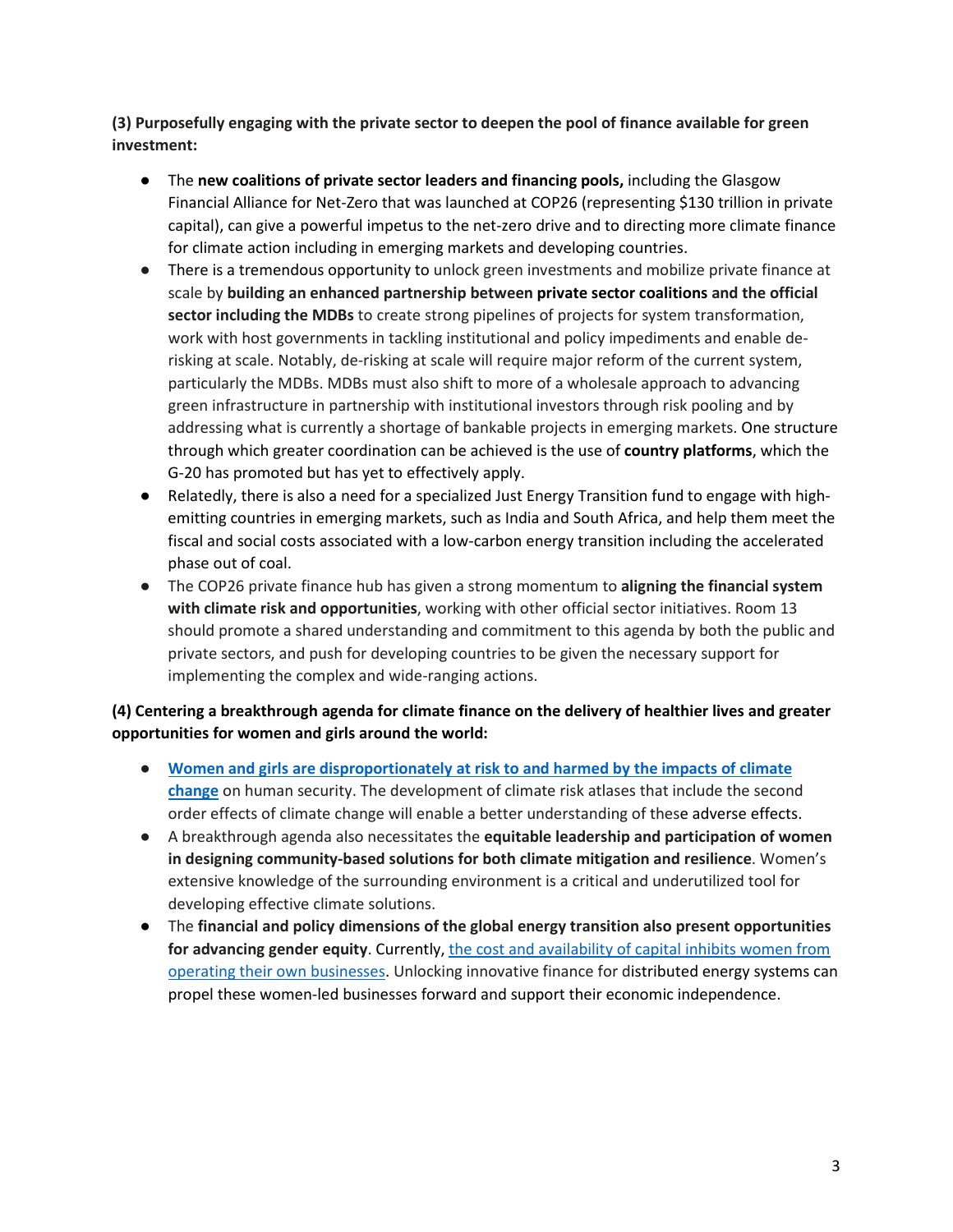**(3) Purposefully engaging with the private sector to deepen the pool of finance available for green investment:**

- The **new coalitions of private sector leaders and financing pools,**including the Glasgow Financial Alliance for Net-Zero that was launched at COP26 (representing \$130 trillion in private capital), can give a powerful impetus to the net-zero drive and to directing more climate finance for climate action including in emerging markets and developing countries.
- There is a tremendous opportunity to unlock green investments and mobilize private finance at scale by **building an enhanced partnership between private sector coalitions and the official sector including the MDBs** to create strong pipelines of projects for system transformation, work with host governments in tackling institutional and policy impediments and enable derisking at scale. Notably, de-risking at scale will require major reform of the current system, particularly the MDBs. MDBs must also shift to more of a wholesale approach to advancing green infrastructure in partnership with institutional investors through risk pooling and by addressing what is currently a shortage of bankable projects in emerging markets. One structure through which greater coordination can be achieved is the use of **country platforms**, which the G-20 has promoted but has yet to effectively apply.
- Relatedly, there is also a need for a specialized Just Energy Transition fund to engage with highemitting countries in emerging markets, such as India and South Africa, and help them meet the fiscal and social costs associated with a low-carbon energy transition including the accelerated phase out of coal.
- The COP26 private finance hub has given a strong momentum to **aligning the financial system with climate risk and opportunities**, working with other official sector initiatives. Room 13 should promote a shared understanding and commitment to this agenda by both the public and private sectors, and push for developing countries to be given the necessary support for implementing the complex and wide-ranging actions.

### **(4) Centering a breakthrough agenda for climate finance on the delivery of healthier lives and greater opportunities for women and girls around the world:**

- **[Women and girls are disproportionately at risk to and harmed by the impacts of climate](https://www.un.org/en/chronicle/article/womenin-shadow-climate-change)  [change](https://www.un.org/en/chronicle/article/womenin-shadow-climate-change)** on human security. The development of climate risk atlases that include the second order effects of climate change will enable a better understanding of these adverse effects.
- A breakthrough agenda also necessitates the **equitable leadership and participation of women in designing community-based solutions for both climate mitigation and resilience**. Women's extensive knowledge of the surrounding environment is a critical and underutilized tool for developing effective climate solutions.
- The **financial and policy dimensions of the global energy transition also present opportunities**  for advancing gender equity. Currently, the cost and availability of capital inhibits women from [operating their own businesses.](https://www.brookings.edu/research/empowering-women-entrepreneurs-in-developing-countries/) Unlocking innovative finance for distributed energy systems can propel these women-led businesses forward and support their economic independence.